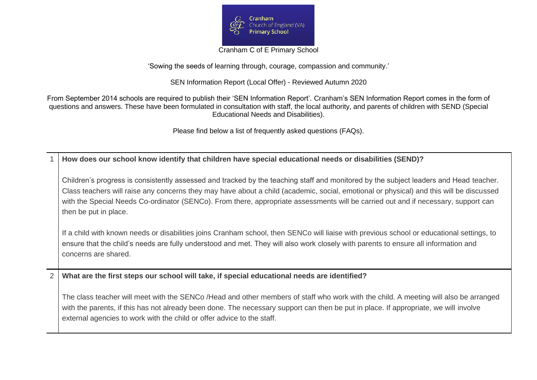

Cranham C of E Primary School

'Sowing the seeds of learning through, courage, compassion and community.'

SEN Information Report (Local Offer) - Reviewed Autumn 2020

From September 2014 schools are required to publish their 'SEN Information Report'. Cranham's SEN Information Report comes in the form of questions and answers. These have been formulated in consultation with staff, the local authority, and parents of children with SEND (Special Educational Needs and Disabilities).

Please find below a list of frequently asked questions (FAQs).

1 **How does our school know identify that children have special educational needs or disabilities (SEND)?**

Children's progress is consistently assessed and tracked by the teaching staff and monitored by the subject leaders and Head teacher. Class teachers will raise any concerns they may have about a child (academic, social, emotional or physical) and this will be discussed with the Special Needs Co-ordinator (SENCo). From there, appropriate assessments will be carried out and if necessary, support can then be put in place.

If a child with known needs or disabilities joins Cranham school, then SENCo will liaise with previous school or educational settings, to ensure that the child's needs are fully understood and met. They will also work closely with parents to ensure all information and concerns are shared.

2 **What are the first steps our school will take, if special educational needs are identified?**

The class teacher will meet with the SENCo /Head and other members of staff who work with the child. A meeting will also be arranged with the parents, if this has not already been done. The necessary support can then be put in place. If appropriate, we will involve external agencies to work with the child or offer advice to the staff.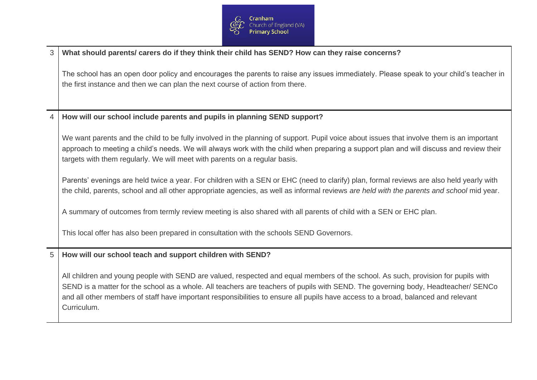

| 3 | What should parents/ carers do if they think their child has SEND? How can they raise concerns?                                                                                                                                                                                                                                                                                                                            |
|---|----------------------------------------------------------------------------------------------------------------------------------------------------------------------------------------------------------------------------------------------------------------------------------------------------------------------------------------------------------------------------------------------------------------------------|
|   | The school has an open door policy and encourages the parents to raise any issues immediately. Please speak to your child's teacher in<br>the first instance and then we can plan the next course of action from there.                                                                                                                                                                                                    |
| 4 | How will our school include parents and pupils in planning SEND support?                                                                                                                                                                                                                                                                                                                                                   |
|   | We want parents and the child to be fully involved in the planning of support. Pupil voice about issues that involve them is an important<br>approach to meeting a child's needs. We will always work with the child when preparing a support plan and will discuss and review their<br>targets with them regularly. We will meet with parents on a regular basis.                                                         |
|   | Parents' evenings are held twice a year. For children with a SEN or EHC (need to clarify) plan, formal reviews are also held yearly with<br>the child, parents, school and all other appropriate agencies, as well as informal reviews are held with the parents and school mid year.                                                                                                                                      |
|   | A summary of outcomes from termly review meeting is also shared with all parents of child with a SEN or EHC plan.                                                                                                                                                                                                                                                                                                          |
|   | This local offer has also been prepared in consultation with the schools SEND Governors.                                                                                                                                                                                                                                                                                                                                   |
| 5 | How will our school teach and support children with SEND?                                                                                                                                                                                                                                                                                                                                                                  |
|   | All children and young people with SEND are valued, respected and equal members of the school. As such, provision for pupils with<br>SEND is a matter for the school as a whole. All teachers are teachers of pupils with SEND. The governing body, Headteacher/ SENCo<br>and all other members of staff have important responsibilities to ensure all pupils have access to a broad, balanced and relevant<br>Curriculum. |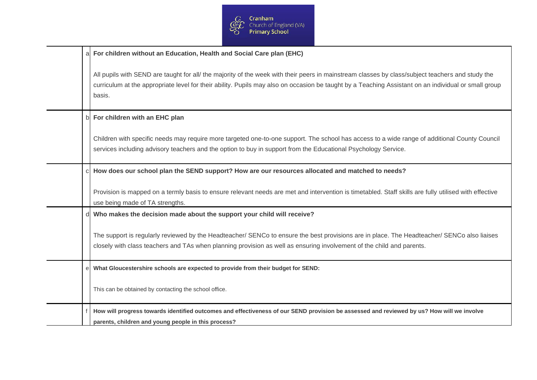

| a | For children without an Education, Health and Social Care plan (EHC)                                                                                                                                                                                                                                               |
|---|--------------------------------------------------------------------------------------------------------------------------------------------------------------------------------------------------------------------------------------------------------------------------------------------------------------------|
|   | All pupils with SEND are taught for all/ the majority of the week with their peers in mainstream classes by class/subject teachers and study the<br>curriculum at the appropriate level for their ability. Pupils may also on occasion be taught by a Teaching Assistant on an individual or small group<br>basis. |
| b | For children with an EHC plan                                                                                                                                                                                                                                                                                      |
|   | Children with specific needs may require more targeted one-to-one support. The school has access to a wide range of additional County Council<br>services including advisory teachers and the option to buy in support from the Educational Psychology Service.                                                    |
|   | How does our school plan the SEND support? How are our resources allocated and matched to needs?                                                                                                                                                                                                                   |
|   | Provision is mapped on a termly basis to ensure relevant needs are met and intervention is timetabled. Staff skills are fully utilised with effective<br>use being made of TA strengths.                                                                                                                           |
|   | Who makes the decision made about the support your child will receive?                                                                                                                                                                                                                                             |
|   | The support is regularly reviewed by the Headteacher/ SENCo to ensure the best provisions are in place. The Headteacher/ SENCo also liaises<br>closely with class teachers and TAs when planning provision as well as ensuring involvement of the child and parents.                                               |
| e | What Gloucestershire schools are expected to provide from their budget for SEND:                                                                                                                                                                                                                                   |
|   | This can be obtained by contacting the school office.                                                                                                                                                                                                                                                              |
|   | How will progress towards identified outcomes and effectiveness of our SEND provision be assessed and reviewed by us? How will we involve<br>parents, children and young people in this process?                                                                                                                   |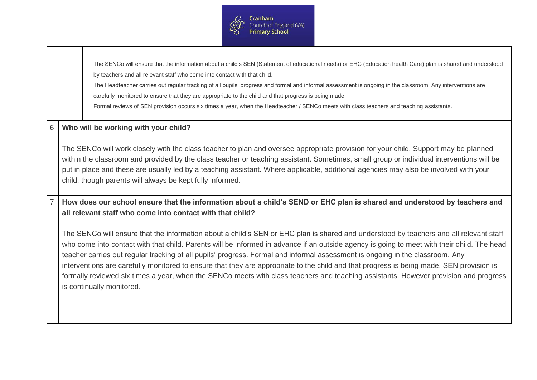

|   | The SENCo will ensure that the information about a child's SEN (Statement of educational needs) or EHC (Education health Care) plan is shared and understood                                                                                                                                                                                                                                                                                                                                                                                                                                                                                                                                                                            |  |  |  |
|---|-----------------------------------------------------------------------------------------------------------------------------------------------------------------------------------------------------------------------------------------------------------------------------------------------------------------------------------------------------------------------------------------------------------------------------------------------------------------------------------------------------------------------------------------------------------------------------------------------------------------------------------------------------------------------------------------------------------------------------------------|--|--|--|
|   | by teachers and all relevant staff who come into contact with that child.                                                                                                                                                                                                                                                                                                                                                                                                                                                                                                                                                                                                                                                               |  |  |  |
|   | The Headteacher carries out regular tracking of all pupils' progress and formal and informal assessment is ongoing in the classroom. Any interventions are                                                                                                                                                                                                                                                                                                                                                                                                                                                                                                                                                                              |  |  |  |
|   | carefully monitored to ensure that they are appropriate to the child and that progress is being made.                                                                                                                                                                                                                                                                                                                                                                                                                                                                                                                                                                                                                                   |  |  |  |
|   | Formal reviews of SEN provision occurs six times a year, when the Headteacher / SENCo meets with class teachers and teaching assistants.                                                                                                                                                                                                                                                                                                                                                                                                                                                                                                                                                                                                |  |  |  |
| 6 | Who will be working with your child?                                                                                                                                                                                                                                                                                                                                                                                                                                                                                                                                                                                                                                                                                                    |  |  |  |
|   | The SENCo will work closely with the class teacher to plan and oversee appropriate provision for your child. Support may be planned<br>within the classroom and provided by the class teacher or teaching assistant. Sometimes, small group or individual interventions will be<br>put in place and these are usually led by a teaching assistant. Where applicable, additional agencies may also be involved with your<br>child, though parents will always be kept fully informed.                                                                                                                                                                                                                                                    |  |  |  |
|   | How does our school ensure that the information about a child's SEND or EHC plan is shared and understood by teachers and<br>all relevant staff who come into contact with that child?                                                                                                                                                                                                                                                                                                                                                                                                                                                                                                                                                  |  |  |  |
|   | The SENCo will ensure that the information about a child's SEN or EHC plan is shared and understood by teachers and all relevant staff<br>who come into contact with that child. Parents will be informed in advance if an outside agency is going to meet with their child. The head<br>teacher carries out regular tracking of all pupils' progress. Formal and informal assessment is ongoing in the classroom. Any<br>interventions are carefully monitored to ensure that they are appropriate to the child and that progress is being made. SEN provision is<br>formally reviewed six times a year, when the SENCo meets with class teachers and teaching assistants. However provision and progress<br>is continually monitored. |  |  |  |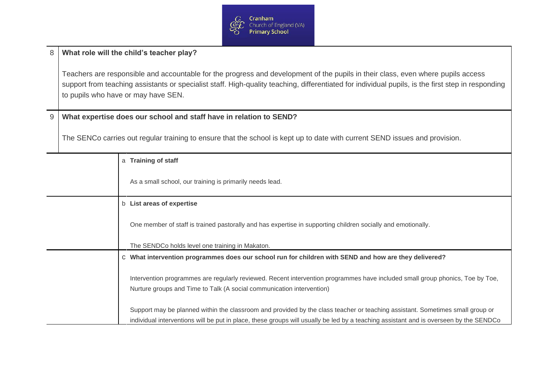

## 8 **What role will the child's teacher play?**

Teachers are responsible and accountable for the progress and development of the pupils in their class, even where pupils access support from teaching assistants or specialist staff. High-quality teaching, differentiated for individual pupils, is the first step in responding to pupils who have or may have SEN.

## 9 **What expertise does our school and staff have in relation to SEND?**

The SENCo carries out regular training to ensure that the school is kept up to date with current SEND issues and provision.

| a | <b>Training of staff</b>                                                                                                                                                                               |
|---|--------------------------------------------------------------------------------------------------------------------------------------------------------------------------------------------------------|
|   | As a small school, our training is primarily needs lead.                                                                                                                                               |
|   | b List areas of expertise                                                                                                                                                                              |
|   | One member of staff is trained pastorally and has expertise in supporting children socially and emotionally.                                                                                           |
|   | The SENDCo holds level one training in Makaton.                                                                                                                                                        |
|   | What intervention programmes does our school run for children with SEND and how are they delivered?                                                                                                    |
|   | Intervention programmes are regularly reviewed. Recent intervention programmes have included small group phonics, Toe by Toe,<br>Nurture groups and Time to Talk (A social communication intervention) |
|   | Support may be planned within the classroom and provided by the class teacher or teaching assistant. Sometimes small group or                                                                          |
|   | individual interventions will be put in place, these groups will usually be led by a teaching assistant and is overseen by the SENDCo                                                                  |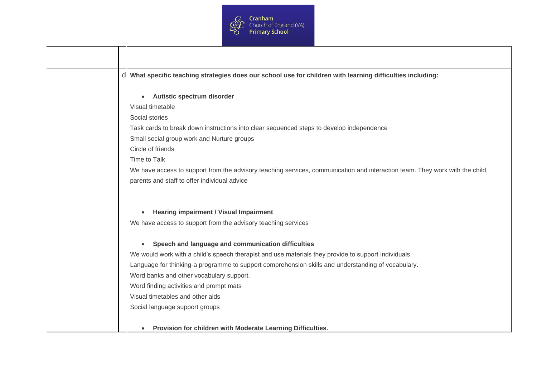

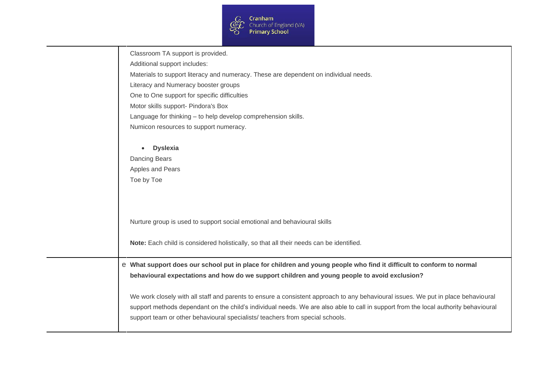

|   | Classroom TA support is provided.<br>Additional support includes:<br>Materials to support literacy and numeracy. These are dependent on individual needs.<br>Literacy and Numeracy booster groups                                                                                                                                                         |
|---|-----------------------------------------------------------------------------------------------------------------------------------------------------------------------------------------------------------------------------------------------------------------------------------------------------------------------------------------------------------|
|   | One to One support for specific difficulties                                                                                                                                                                                                                                                                                                              |
|   | Motor skills support- Pindora's Box                                                                                                                                                                                                                                                                                                                       |
|   | Language for thinking - to help develop comprehension skills.                                                                                                                                                                                                                                                                                             |
|   | Numicon resources to support numeracy.                                                                                                                                                                                                                                                                                                                    |
|   | <b>Dyslexia</b><br>$\bullet$<br><b>Dancing Bears</b><br>Apples and Pears<br>Toe by Toe<br>Nurture group is used to support social emotional and behavioural skills                                                                                                                                                                                        |
|   | Note: Each child is considered holistically, so that all their needs can be identified.                                                                                                                                                                                                                                                                   |
| e | What support does our school put in place for children and young people who find it difficult to conform to normal<br>behavioural expectations and how do we support children and young people to avoid exclusion?                                                                                                                                        |
|   | We work closely with all staff and parents to ensure a consistent approach to any behavioural issues. We put in place behavioural<br>support methods dependant on the child's individual needs. We are also able to call in support from the local authority behavioural<br>support team or other behavioural specialists/ teachers from special schools. |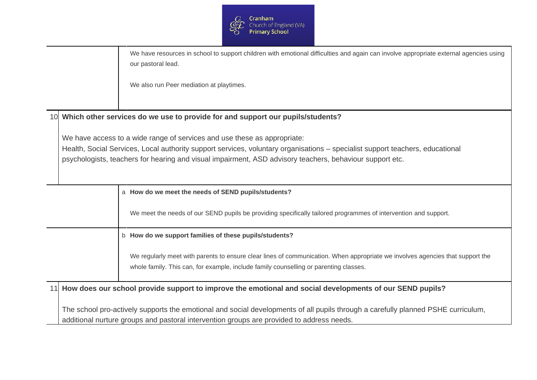

|  |                                                                                           |   | We have resources in school to support children with emotional difficulties and again can involve appropriate external agencies using<br>our pastoral lead.                                                            |
|--|-------------------------------------------------------------------------------------------|---|------------------------------------------------------------------------------------------------------------------------------------------------------------------------------------------------------------------------|
|  |                                                                                           |   | We also run Peer mediation at playtimes.                                                                                                                                                                               |
|  |                                                                                           |   | 10 Which other services do we use to provide for and support our pupils/students?                                                                                                                                      |
|  |                                                                                           |   | We have access to a wide range of services and use these as appropriate:                                                                                                                                               |
|  |                                                                                           |   | Health, Social Services, Local authority support services, voluntary organisations - specialist support teachers, educational                                                                                          |
|  |                                                                                           |   | psychologists, teachers for hearing and visual impairment, ASD advisory teachers, behaviour support etc.                                                                                                               |
|  |                                                                                           |   |                                                                                                                                                                                                                        |
|  |                                                                                           |   | How do we meet the needs of SEND pupils/students?                                                                                                                                                                      |
|  |                                                                                           |   | We meet the needs of our SEND pupils be providing specifically tailored programmes of intervention and support.                                                                                                        |
|  |                                                                                           | b | How do we support families of these pupils/students?                                                                                                                                                                   |
|  |                                                                                           |   | We regularly meet with parents to ensure clear lines of communication. When appropriate we involves agencies that support the<br>whole family. This can, for example, include family counselling or parenting classes. |
|  |                                                                                           |   | 11 How does our school provide support to improve the emotional and social developments of our SEND pupils?                                                                                                            |
|  |                                                                                           |   | The school pro-actively supports the emotional and social developments of all pupils through a carefully planned PSHE curriculum,                                                                                      |
|  | additional nurture groups and pastoral intervention groups are provided to address needs. |   |                                                                                                                                                                                                                        |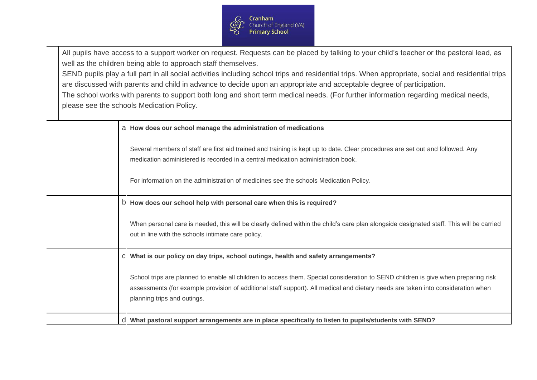

All pupils have access to a support worker on request. Requests can be placed by talking to your child's teacher or the pastoral lead, as well as the children being able to approach staff themselves.

SEND pupils play a full part in all social activities including school trips and residential trips. When appropriate, social and residential trips are discussed with parents and child in advance to decide upon an appropriate and acceptable degree of participation.

The school works with parents to support both long and short term medical needs. (For further information regarding medical needs, please see the schools Medication Policy*.*

|    | a How does our school manage the administration of medications                                                                                                                                                                                                                                              |
|----|-------------------------------------------------------------------------------------------------------------------------------------------------------------------------------------------------------------------------------------------------------------------------------------------------------------|
|    | Several members of staff are first aid trained and training is kept up to date. Clear procedures are set out and followed. Any<br>medication administered is recorded in a central medication administration book.<br>For information on the administration of medicines see the schools Medication Policy. |
|    | b How does our school help with personal care when this is required?                                                                                                                                                                                                                                        |
|    | When personal care is needed, this will be clearly defined within the child's care plan alongside designated staff. This will be carried<br>out in line with the schools intimate care policy.                                                                                                              |
| CI | What is our policy on day trips, school outings, health and safety arrangements?                                                                                                                                                                                                                            |
|    | School trips are planned to enable all children to access them. Special consideration to SEND children is give when preparing risk<br>assessments (for example provision of additional staff support). All medical and dietary needs are taken into consideration when<br>planning trips and outings.       |
|    | What pastoral support arrangements are in place specifically to listen to pupils/students with SEND?                                                                                                                                                                                                        |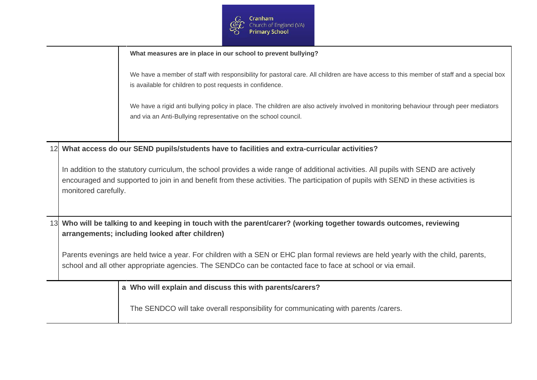

|    |                      |   | What measures are in place in our school to prevent bullying?                                                                                                                                                                                                                |
|----|----------------------|---|------------------------------------------------------------------------------------------------------------------------------------------------------------------------------------------------------------------------------------------------------------------------------|
|    |                      |   | We have a member of staff with responsibility for pastoral care. All children are have access to this member of staff and a special box<br>is available for children to post requests in confidence.                                                                         |
|    |                      |   | We have a rigid anti bullying policy in place. The children are also actively involved in monitoring behaviour through peer mediators<br>and via an Anti-Bullying representative on the school council.                                                                      |
|    |                      |   |                                                                                                                                                                                                                                                                              |
|    |                      |   | What access do our SEND pupils/students have to facilities and extra-curricular activities?                                                                                                                                                                                  |
|    | monitored carefully. |   | In addition to the statutory curriculum, the school provides a wide range of additional activities. All pupils with SEND are actively<br>encouraged and supported to join in and benefit from these activities. The participation of pupils with SEND in these activities is |
| 13 |                      |   | Who will be talking to and keeping in touch with the parent/carer? (working together towards outcomes, reviewing                                                                                                                                                             |
|    |                      |   | arrangements; including looked after children)                                                                                                                                                                                                                               |
|    |                      |   | Parents evenings are held twice a year. For children with a SEN or EHC plan formal reviews are held yearly with the child, parents,<br>school and all other appropriate agencies. The SENDCo can be contacted face to face at school or via email.                           |
|    |                      | a | Who will explain and discuss this with parents/carers?                                                                                                                                                                                                                       |
|    |                      |   | The SENDCO will take overall responsibility for communicating with parents /carers.                                                                                                                                                                                          |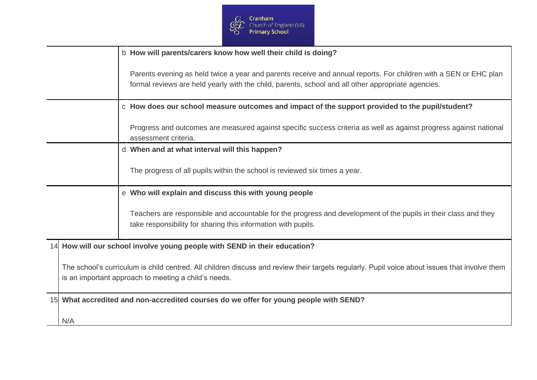

|     |                                                                                                                                                                                                       | b  | How will parents/carers know how well their child is doing?                                                                                                                                                            |
|-----|-------------------------------------------------------------------------------------------------------------------------------------------------------------------------------------------------------|----|------------------------------------------------------------------------------------------------------------------------------------------------------------------------------------------------------------------------|
|     |                                                                                                                                                                                                       |    | Parents evening as held twice a year and parents receive and annual reports. For children with a SEN or EHC plan<br>formal reviews are held yearly with the child, parents, school and all other appropriate agencies. |
|     |                                                                                                                                                                                                       | C. | How does our school measure outcomes and impact of the support provided to the pupil/student?                                                                                                                          |
|     |                                                                                                                                                                                                       |    | Progress and outcomes are measured against specific success criteria as well as against progress against national<br>assessment criteria.                                                                              |
|     |                                                                                                                                                                                                       |    | When and at what interval will this happen?                                                                                                                                                                            |
|     |                                                                                                                                                                                                       |    | The progress of all pupils within the school is reviewed six times a year.                                                                                                                                             |
|     |                                                                                                                                                                                                       | e. | Who will explain and discuss this with young people                                                                                                                                                                    |
|     |                                                                                                                                                                                                       |    | Teachers are responsible and accountable for the progress and development of the pupils in their class and they<br>take responsibility for sharing this information with pupils.                                       |
|     |                                                                                                                                                                                                       |    | 14 How will our school involve young people with SEND in their education?                                                                                                                                              |
|     | The school's curriculum is child centred. All children discuss and review their targets regularly. Pupil voice about issues that involve them<br>is an important approach to meeting a child's needs. |    |                                                                                                                                                                                                                        |
|     | 15 What accredited and non-accredited courses do we offer for young people with SEND?                                                                                                                 |    |                                                                                                                                                                                                                        |
| N/A |                                                                                                                                                                                                       |    |                                                                                                                                                                                                                        |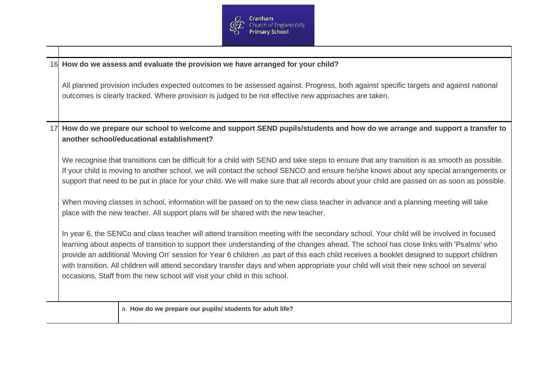

|    | 16 How do we assess and evaluate the provision we have arranged for your child?                                                                                                                                                                                                                                                                                                                                                                                                                                                                                                                                                                          |  |  |  |  |  |
|----|----------------------------------------------------------------------------------------------------------------------------------------------------------------------------------------------------------------------------------------------------------------------------------------------------------------------------------------------------------------------------------------------------------------------------------------------------------------------------------------------------------------------------------------------------------------------------------------------------------------------------------------------------------|--|--|--|--|--|
|    | All planned provision includes expected outcomes to be assessed against. Progress, both against specific targets and against national<br>outcomes is clearly tracked. Where provision is judged to be not effective new approaches are taken.                                                                                                                                                                                                                                                                                                                                                                                                            |  |  |  |  |  |
| 17 | How do we prepare our school to welcome and support SEND pupils/students and how do we arrange and support a transfer to<br>another school/educational establishment?                                                                                                                                                                                                                                                                                                                                                                                                                                                                                    |  |  |  |  |  |
|    | We recognise that transitions can be difficult for a child with SEND and take steps to ensure that any transition is as smooth as possible.<br>If your child is moving to another school, we will contact the school SENCO and ensure he/she knows about any special arrangements or<br>support that need to be put in place for your child. We will make sure that all records about your child are passed on as soon as possible.                                                                                                                                                                                                                      |  |  |  |  |  |
|    | When moving classes in school, information will be passed on to the new class teacher in advance and a planning meeting will take<br>place with the new teacher. All support plans will be shared with the new teacher.                                                                                                                                                                                                                                                                                                                                                                                                                                  |  |  |  |  |  |
|    | In year 6, the SENCo and class teacher will attend transition meeting with the secondary school. Your child will be involved in focused<br>learning about aspects of transition to support their understanding of the changes ahead. The school has close links with 'Psalms' who<br>provide an additional 'Moving On' session for Year 6 children, as part of this each child receives a booklet designed to support children<br>with transition. All children will attend secondary transfer days and when appropriate your child will visit their new school on several<br>occasions. Staff from the new school will visit your child in this school. |  |  |  |  |  |
|    | a How do we prepare our pupils/ students for adult life?                                                                                                                                                                                                                                                                                                                                                                                                                                                                                                                                                                                                 |  |  |  |  |  |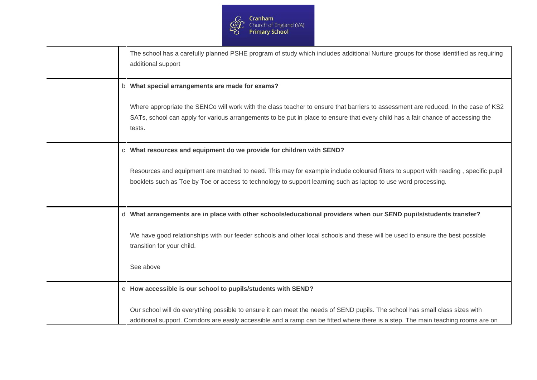

|              | The school has a carefully planned PSHE program of study which includes additional Nurture groups for those identified as requiring<br>additional support                                                                                                                                                                          |
|--------------|------------------------------------------------------------------------------------------------------------------------------------------------------------------------------------------------------------------------------------------------------------------------------------------------------------------------------------|
| b            | What special arrangements are made for exams?<br>Where appropriate the SENCo will work with the class teacher to ensure that barriers to assessment are reduced. In the case of KS2<br>SATs, school can apply for various arrangements to be put in place to ensure that every child has a fair chance of accessing the<br>tests.  |
| <sub>C</sub> | What resources and equipment do we provide for children with SEND?<br>Resources and equipment are matched to need. This may for example include coloured filters to support with reading, specific pupil<br>booklets such as Toe by Toe or access to technology to support learning such as laptop to use word processing.         |
|              | What arrangements are in place with other schools/educational providers when our SEND pupils/students transfer?<br>We have good relationships with our feeder schools and other local schools and these will be used to ensure the best possible<br>transition for your child.<br>See above                                        |
|              | e How accessible is our school to pupils/students with SEND?<br>Our school will do everything possible to ensure it can meet the needs of SEND pupils. The school has small class sizes with<br>additional support. Corridors are easily accessible and a ramp can be fitted where there is a step. The main teaching rooms are on |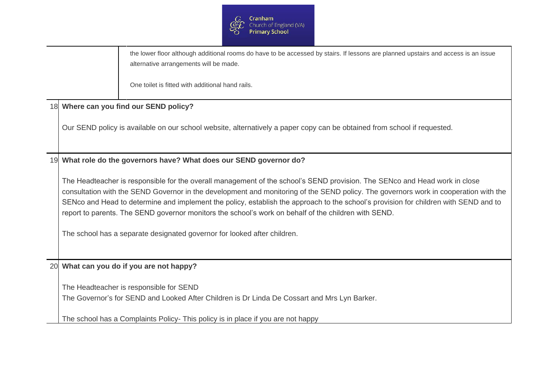

|    |                                                                                                                                                                                                                                                                                                                                                                                                                                                                                                                                                                                                | the lower floor although additional rooms do have to be accessed by stairs. If lessons are planned upstairs and access is an issue<br>alternative arrangements will be made.<br>One toilet is fitted with additional hand rails. |
|----|------------------------------------------------------------------------------------------------------------------------------------------------------------------------------------------------------------------------------------------------------------------------------------------------------------------------------------------------------------------------------------------------------------------------------------------------------------------------------------------------------------------------------------------------------------------------------------------------|----------------------------------------------------------------------------------------------------------------------------------------------------------------------------------------------------------------------------------|
| 18 |                                                                                                                                                                                                                                                                                                                                                                                                                                                                                                                                                                                                | Where can you find our SEND policy?                                                                                                                                                                                              |
|    |                                                                                                                                                                                                                                                                                                                                                                                                                                                                                                                                                                                                | Our SEND policy is available on our school website, alternatively a paper copy can be obtained from school if requested.                                                                                                         |
| 19 |                                                                                                                                                                                                                                                                                                                                                                                                                                                                                                                                                                                                | What role do the governors have? What does our SEND governor do?                                                                                                                                                                 |
|    | The Headteacher is responsible for the overall management of the school's SEND provision. The SENco and Head work in close<br>consultation with the SEND Governor in the development and monitoring of the SEND policy. The governors work in cooperation with the<br>SENco and Head to determine and implement the policy, establish the approach to the school's provision for children with SEND and to<br>report to parents. The SEND governor monitors the school's work on behalf of the children with SEND.<br>The school has a separate designated governor for looked after children. |                                                                                                                                                                                                                                  |
| 20 | What can you do if you are not happy?                                                                                                                                                                                                                                                                                                                                                                                                                                                                                                                                                          |                                                                                                                                                                                                                                  |
|    |                                                                                                                                                                                                                                                                                                                                                                                                                                                                                                                                                                                                | The Headteacher is responsible for SEND<br>The Governor's for SEND and Looked After Children is Dr Linda De Cossart and Mrs Lyn Barker.                                                                                          |
|    |                                                                                                                                                                                                                                                                                                                                                                                                                                                                                                                                                                                                | The school has a Complaints Policy- This policy is in place if you are not happy                                                                                                                                                 |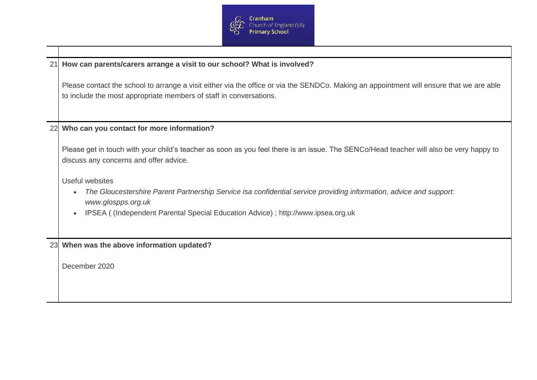

| How can parents/carers arrange a visit to our school? What is involved?<br>21 |                                                                                                                                                                                                                                                |  |
|-------------------------------------------------------------------------------|------------------------------------------------------------------------------------------------------------------------------------------------------------------------------------------------------------------------------------------------|--|
|                                                                               | Please contact the school to arrange a visit either via the office or via the SENDCo. Making an appointment will ensure that we are able<br>to include the most appropriate members of staff in conversations.                                 |  |
| 22                                                                            | Who can you contact for more information?                                                                                                                                                                                                      |  |
|                                                                               | Please get in touch with your child's teacher as soon as you feel there is an issue. The SENCo/Head teacher will also be very happy to<br>discuss any concerns and offer advice.                                                               |  |
|                                                                               | Useful websites<br>The Gloucestershire Parent Partnership Service isa confidential service providing information, advice and support:<br>www.glospps.org.uk<br>IPSEA ((Independent Parental Special Education Advice); http://www.ipsea.org.uk |  |
|                                                                               | 23 When was the above information updated?                                                                                                                                                                                                     |  |
|                                                                               | December 2020                                                                                                                                                                                                                                  |  |